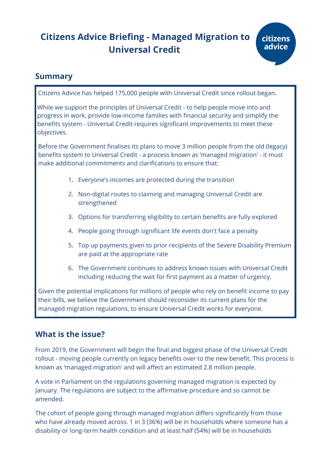# **Citizens Advice Briefing - Managed Migration to Universal Credit**

## **Summary**

Citizens Advice has helped 175,000 people with Universal Credit since rollout began.

While we support the principles of Universal Credit - to help people move into and progress in work, provide low-income families with financial security and simplify the benefits system - Universal Credit requires significant improvements to meet these objectives.

Before the Government finalises its plans to move 3 million people from the old (legacy) benefits system to Universal Credit - a process known as 'managed migration' - it must make additional commitments and clarifications to ensure that:

- 1. Everyone's incomes are protected during the transition
- 2. Non-digital routes to claiming and managing Universal Credit are strengthened
- 3. Options for transferring eligibility to certain benefits are fully explored
- 4. People going through significant life events don't face a penalty
- 5. Top up payments given to prior recipients of the Severe Disability Premium are paid at the appropriate rate
- 6. The Government continues to address known issues with Universal Credit including reducing the wait for first payment as a matter of urgency.

Given the potential implications for millions of people who rely on benefit income to pay their bills, we believe the Government should reconsider its current plans for the managed migration regulations, to ensure Universal Credit works for everyone.

# **What is the issue?**

From 2019, the Government will begin the final and biggest phase of the Universal Credit rollout - moving people currently on legacy benefits over to the new benefit. This process is known as 'managed migration' and will affect an estimated 2.8 million people.

A vote in Parliament on the regulations governing managed migration is expected by January. The regulations are subject to the affirmative procedure and so cannot be amended.

The cohort of people going through managed migration differs significantly from those who have already moved across. 1 in 3 (36%) will be in households where someone has a disability or long-term health condition and at least half (54%) will be in households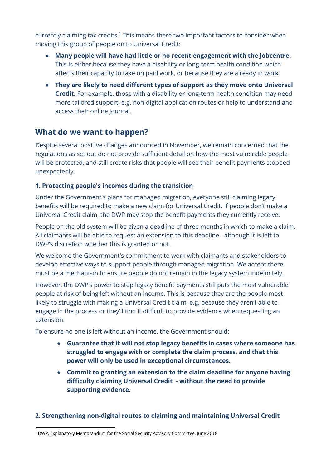currently claiming tax credits.<sup>1</sup> This means there two important factors to consider when moving this group of people on to Universal Credit:

- **Many people will have had little or no recent engagement with the Jobcentre.** This is either because they have a disability or long-term health condition which affects their capacity to take on paid work, or because they are already in work.
- **They are likely to need different types of support as they move onto Universal Credit.** For example, those with a disability or long-term health condition may need more tailored support, e.g. non-digital application routes or help to understand and access their online journal.

# **What do we want to happen?**

Despite several positive changes announced in November, we remain concerned that the regulations as set out do not provide sufficient detail on how the most vulnerable people will be protected, and still create risks that people will see their benefit payments stopped unexpectedly.

### **1. Protecting people's incomes during the transition**

Under the Government's plans for managed migration, everyone still claiming legacy benefits will be required to make a new claim for Universal Credit. If people don't make a Universal Credit claim, the DWP may stop the benefit payments they currently receive.

People on the old system will be given a deadline of three months in which to make a claim. All claimants will be able to request an extension to this deadline - although it is left to DWP's discretion whether this is granted or not.

We welcome the Government's commitment to work with claimants and stakeholders to develop effective ways to support people through managed migration. We accept there must be a mechanism to ensure people do not remain in the legacy system indefinitely.

However, the DWP's power to stop legacy benefit payments still puts the most vulnerable people at risk of being left without an income. This is because they are the people most likely to struggle with making a Universal Credit claim, e.g. because they aren't able to engage in the process or they'll find it difficult to provide evidence when requesting an extension.

To ensure no one is left without an income, the Government should:

- **● Guarantee that it will not stop legacy benefits in cases where someone has struggled to engage with or complete the claim process, and that this power will only be used in exceptional circumstances.**
- **● Commit to granting an extension to the claim deadline for anyone having difficulty claiming Universal Credit - without the need to provide supporting evidence.**

## **2. Strengthening non-digital routes to claiming and maintaining Universal Credit**

<sup>&</sup>lt;sup>1</sup> DWP, Explanatory [Memorandum](https://assets.publishing.service.gov.uk/government/uploads/system/uploads/attachment_data/file/718580/uc-transitional-regs-2018-explanatory-memorandum.pdf) for the Social Security Advisory Committee, June 2018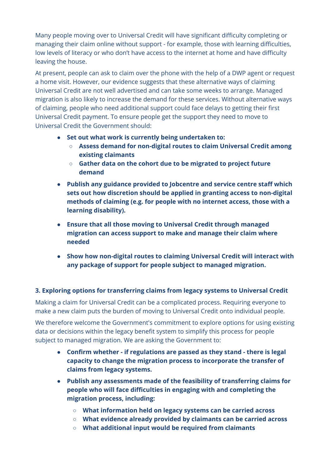Many people moving over to Universal Credit will have significant difficulty completing or managing their claim online without support - for example, those with learning difficulties, low levels of literacy or who don't have access to the internet at home and have difficulty leaving the house.

At present, people can ask to claim over the phone with the help of a DWP agent or request a home visit. However, our evidence suggests that these alternative ways of claiming Universal Credit are not well advertised and can take some weeks to arrange. Managed migration is also likely to increase the demand for these services. Without alternative ways of claiming, people who need additional support could face delays to getting their first Universal Credit payment. To ensure people get the support they need to move to Universal Credit the Government should:

- **● Set out what work is currently being undertaken to:**
	- **○ Assess demand for non-digital routes to claim Universal Credit among existing claimants**
	- **○ Gather data on the cohort due to be migrated to project future demand**
- **● Publish any guidance provided to Jobcentre and service centre staff which sets out how discretion should be applied in granting access to non-digital methods of claiming (e.g. for people with no internet access, those with a learning disability).**
- **● Ensure that all those moving to Universal Credit through managed migration can access support to make and manage their claim where needed**
- **● Show how non-digital routes to claiming Universal Credit will interact with any package of support for people subject to managed migration.**

## **3. Exploring options for transferring claims from legacy systems to Universal Credit**

Making a claim for Universal Credit can be a complicated process. Requiring everyone to make a new claim puts the burden of moving to Universal Credit onto individual people.

We therefore welcome the Government's commitment to explore options for using existing data or decisions within the legacy benefit system to simplify this process for people subject to managed migration. We are asking the Government to:

- **● Confirm whether - if regulations are passed as they stand - there is legal capacity to change the migration process to incorporate the transfer of claims from legacy systems.**
- **● Publish any assessments made of the feasibility of transferring claims for people who will face difficulties in engaging with and completing the migration process, including:**
	- **○ What information held on legacy systems can be carried across**
	- **○ What evidence already provided by claimants can be carried across**
	- **○ What additional input would be required from claimants**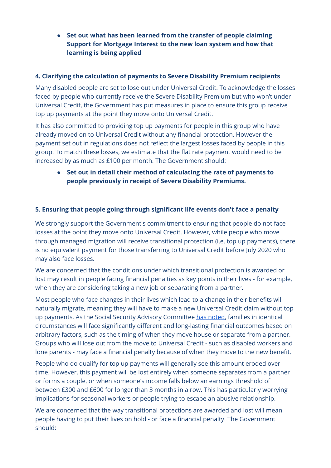**● Set out what has been learned from the transfer of people claiming Support for Mortgage Interest to the new loan system and how that learning is being applied**

#### **4. Clarifying the calculation of payments to Severe Disability Premium recipients**

Many disabled people are set to lose out under Universal Credit. To acknowledge the losses faced by people who currently receive the Severe Disability Premium but who won't under Universal Credit, the Government has put measures in place to ensure this group receive top up payments at the point they move onto Universal Credit.

It has also committed to providing top up payments for people in this group who have already moved on to Universal Credit without any financial protection. However the payment set out in regulations does not reflect the largest losses faced by people in this group. To match these losses, we estimate that the flat rate payment would need to be increased by as much as £100 per month. The Government should:

**● Set out in detail their method of calculating the rate of payments to people previously in receipt of Severe Disability Premiums.**

#### **5. Ensuring that people going through significant life events don't face a penalty**

We strongly support the Government's commitment to ensuring that people do not face losses at the point they move onto Universal Credit. However, while people who move through managed migration will receive transitional protection (i.e. top up payments), there is no equivalent payment for those transferring to Universal Credit before July 2020 who may also face losses.

We are concerned that the conditions under which transitional protection is awarded or lost may result in people facing financial penalties as key points in their lives - for example, when they are considering taking a new job or separating from a partner.

Most people who face changes in their lives which lead to a change in their benefits will naturally migrate, meaning they will have to make a new Universal Credit claim without top up payments. As the Social Security Advisory Committee has [noted](https://assets.publishing.service.gov.uk/government/uploads/system/uploads/attachment_data/file/753714/draft-universal-credit-managed-migration-regulations-2018-report.pdf#page=41), families in identical circumstances will face significantly different and long-lasting financial outcomes based on arbitrary factors, such as the timing of when they move house or separate from a partner. Groups who will lose out from the move to Universal Credit - such as disabled workers and lone parents - may face a financial penalty because of when they move to the new benefit.

People who do qualify for top up payments will generally see this amount eroded over time. However, this payment will be lost entirely when someone separates from a partner or forms a couple, or when someone's income falls below an earnings threshold of between £300 and £600 for longer than 3 months in a row. This has particularly worrying implications for seasonal workers or people trying to escape an abusive relationship.

We are concerned that the way transitional protections are awarded and lost will mean people having to put their lives on hold - or face a financial penalty. The Government should: